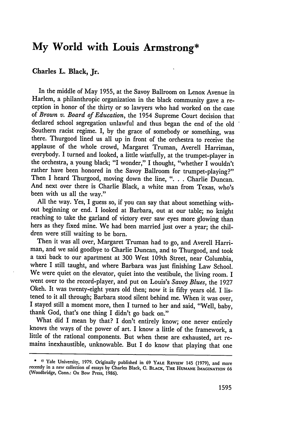## **My World with Louis Armstrong\***

## **Charles L.** Black, **Jr.**

In the middle of May **1955,** at the Savoy Ballroom on Lenox Avenue in Harlem, a philanthropic organization in the black community gave a reception in honor of the thirty or so lawyers who had worked on the case of *Brown v. Board of Education,* the 1954 Supreme Court decision that declared school segregation unlawful and thus began the end of the old Southern racist regime. I, by the grace of somebody or something, was there. Thurgood lined us all up in front of the orchestra to receive the applause of the whole crowd, Margaret Truman, Averell Harriman, everybody. I turned and looked, a little wistfully, at the trumpet-player in the orchestra, a young black; "I wonder," I thought, "whether I wouldn't rather have been honored in the Savoy Ballroom for trumpet-playing?" Then I heard Thurgood, moving down the line, ". . . Charlie Duncan. And next over there is Charlie Black, a white man from Texas, who's been with us all the way."

All the way. Yes, I guess so, if you can say that about something without beginning or end. I looked at Barbara, out at our table; no knight reaching to take the garland of victory ever saw eyes more glowing than hers as they fixed mine. We had been married just over a year; the children were still waiting to be born.

Then it was all over, Margaret Truman had to go, and Averell Harriman, and we said goodbye to Charlie Duncan, and to Thurgood, and took a taxi back to our apartment at 300 West 109th Street, near Columbia, where I still taught, and where Barbara was just finishing Law School. We were quiet on the elevator, quiet into the vestibule, the living room. I went over to the record-player, and put on Louis's *Savoy Blues,* the 1927 Okeh. It was twenty-eight years old then; now it is fifty years old. I listened to it all through; Barbara stood silent behind me. When it was over, I stayed still a moment more, then I turned to her and said, "Well, baby, thank God, that's one thing I didn't go back on."

What did I mean by that? I don't entirely know; one never entirely knows the ways of the power of art. I know a little of the framework, a little of the rational components. But when these are exhausted, art remains inexhaustible, unknowable. But I do know that playing that one

<sup>\*</sup> **0** Yale University, **1979.** Originally published in 69 **YALE** REVIEW 145 (1979), and more recently in a new collection of essays **by** Charles Black, C. BLACK, **THE HUMANE IMAGINATION** <sup>66</sup> (Woodbridge, Conn.: Ox Bow Press, 1986).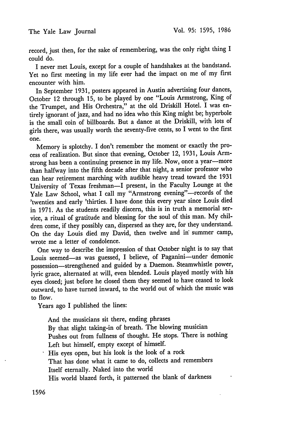record, just then, for the sake of remembering, was the only right thing I could do.

I never met Louis, except for a couple of handshakes at the bandstand. Yet no first meeting in my life ever had the impact on me of my first encounter with him.

In September 1931, posters appeared in Austin advertising four dances, October 12 through 15, to be played by one "Louis Armstrong, King of the Trumpet, and His Orchestra," at the old Driskill Hotel. I was entirely ignorant of jazz, and had no idea who this King might be; hyperbole is the small coin of billboards. But a dance at the Driskill, with lots of girls there, was usually worth the seventy-five cents, so I went to the first one.

Memory is splotchy. I don't remember the moment or exactly the process of realization. But since that evening, October 12, 1931, Louis Armstrong has been a continuing presence in my life. Now, once a year-more than halfway into the fifth decade after that night, a senior professor who can hear retirement marching with audible heavy tread toward the 1931 University of Texas freshman-I present, in the Faculty Lounge at the Yale Law School, what I call my "Armstrong evening"-records of the 'twenties and early 'thirties. I have done this every year since Louis died in 1971. As the students readily discern, this is in truth a memorial service, a ritual of gratitude and blessing for the soul of this man. My children come, if they possibly can, dispersed as they are, for they understand. On the day Louis died my David, then twelve and in" summer camp, wrote me a letter of condolence.

One way to describe the impression of that October night is to say that Louis seemed-as was guessed, I believe, of Paganini-under demonic possession-strengthened and guided by a Daemon. Steamwhistle power, lyric grace, alternated at will, even blended. Louis played mostly with his eyes closed; just before he closed them they seemed to have ceased to look outward, to have turned inward, to the world out of which the music was to flow.

Years ago I published the lines:

And the musicians sit there, ending phrases By that slight taking-in of breath. The blowing musician Pushes out from fullness of thought. He stops. There is nothing Left but himself, empty except of himself. His eyes open, but his look is the look of a rock That has done what it came to do, collects and remembers Itself eternally. Naked into the world His world blazed forth, it patterned the blank of darkness

1596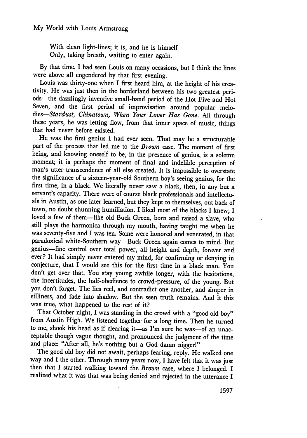With clean light-lines; it is, and he is himself Only, taking breath, waiting to enter again.

By that time, I had seen Louis on many occasions, but I think the lines were above all engendered by that first evening.

Louis was thirty-one when I first heard him, at the height of his creativity. He was just then in the borderland between his two greatest periods-the dazzlingly inventive small-band period of the Hot Five and Hot Seven, and the first period of improvisation around popular melo*dies-Stardust, Chinatown, When Your Lover Has Gone.* All through these years, he was letting flow, from that inner space of music, things that had never before existed.

He was the first genius I had ever seen. That may be a structurable part of the process that led me to the *Brown* case. The moment of first being, and knowing oneself to be, in the presence of genius, is a solemn moment; it is perhaps the moment of final and indelible perception of man's utter transcendence of all else created. It is impossible to overstate the significance of a sixteen-year-old Southern boy's seeing genius, for the first time, in a black. We literally never saw a black, then, in any but a servant's capacity. There were of course black professionals and intellectuals in Austin, as one later learned, but they kept to themselves, out back of town, no doubt shunning humiliation. I liked most of the blacks I knew; I loved a few of them-like old Buck Green, born and raised a slave, who still plays the harmonica through my mouth, having taught me when he was seventy-five and I was ten. Some were honored and venerated, in that paradoxical white-Southern way-Buck Green again comes to mind. But genius-fine control over total power, all height and depth, forever and ever? It had simply never entered my mind, for confirming or denying in conjecture, that I would see this for the first time in a black man. You don't get over that. You stay young awhile longer, with the hesitations, the incertitudes, the half-obedience to crowd-pressure, of the young. But you don't forget. The lies reel, and contradict one another, and simper in silliness, and fade into shadow. But the seen truth remains. And it this was true, what happened to the rest of it?

That October night, I was standing in the crowd with a "good old boy" from Austin High. We listened together for a long time. Then he turned to me, shook his head as if clearing it-as I'm sure he was-of an unacceptable though vague thought, and pronounced the judgment of the time and place: "After all, he's nothing but a God damn nigger!"

The good old boy did not await, perhaps fearing, reply. He walked one way and I the other. Through many years now, I have felt that it was just then that I started walking toward the *Brown* case, where I belonged. I realized what it was that was being denied and rejected in the utterance I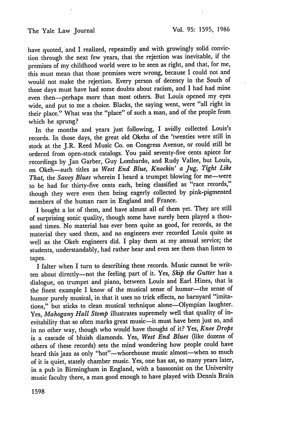have quoted, and I realized, repeatedly and with growingly solid conviction through the next few years, that the rejection was inevitable, if the premises of my childhood world were to be seen as right, and that, for me, this must mean that those premises were wrong, because I could not and would not make the rejection. Every person of decency in the South of those days must have had some doubts about racism, and I had had mine even then-perhaps more than most others. But Louis opened my eyes wide, and put to me a choice. Blacks, the saying went, were "all right in their place." What was the "place" of such a man, and of the people from which he sprung?

In the months and years just following, I avidly collected Louis's records. In those days, the great old Okehs of the 'twenties were still in stock at the J.R. Reed Music Co. on Congress Avenue, or could still be ordered from open-stock catalogs. You paid seventy-five cents apiece for recordings by Jan Garber, Guy Lombardo, and Rudy Vallee, but Louis, on Okeh-such titles as *West End Blue, Knockin' a Jug, Tight Like* That, the *Savoy Blues* wherein I heard a trumpet blowing for me-were to **be** had for thirty-five cents each, being classified as "race records," though they were even then being eagerly collected **by** pink-pigmented members of the human race in England and France.

I bought a lot of them, and have almost all of them yet. They are still of surprising sonic quality, though some have surely been played a thousand times. No material has ever been quite as good, for records, as the material they used them, and no engineers ever recorded Louis quite as well as the Okeh engineers did. I play them at my annual service; the students, understandably, had rather hear and even see them than listen to tapes.

I falter when I turn to describing these records. Music cannot be written about directly-not the feeling part of it. Yes, *Skip the Gutter* has a dialogue, on trumpet and piano, between Louis and Earl Hines, that is the finest example I know of the musical sense of humor-the sense of humor purely musical, in that it uses no trick effects, no barnyard "imitations," but sticks to clean musical technique alone-Olympian laughter. Yes, *Mahogany Hall Stomp* illustrates supremely well that quality of inevitability that so often marks great music-it must have been just so, and in no other way, though who would have thought of it? Yes, *Knee Drops* is a cascade of bluish diamonds. Yes, *West End Blues* (like dozens of others of these records) sets the mind wondering how people could have heard this jazz as only "hot"-whorehouse music almost-when so much of it is quiet, stately chamber music. Yes, one has sat, so many years later, in a pub in Birmingham in England, with a bassoonist on the University music faculty there, a man good enough to have played with Dennis Brain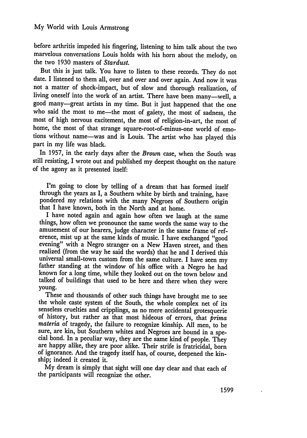before arthritis impeded his fingering, listening to him talk about the two marvelous conversations Louis holds with his horn about the melody, on the two 1930 masters of *Stardust.*

But this is just talk. You have to listen to these records. They do not date. I listened to them all, over and over and over again. And now it was not a matter of shock-impact, but of slow and thorough realization, of living oneself into the work of an artist. There have been many-well, a good many-great artists in my time. But it just happened that the one who said the most to me-the most of gaiety, the most of sadness, the most of high nervous excitement, the most of religion-in-art, the most of home, the most of that strange square-root-of-minus-one world of emotions without name-was and is Louis. The artist who has played this part in my life was black.

In 1957, in the early days after the *Brown* case, when the South was still resisting, I wrote out and published my deepest thought on the nature of the agony as it presented itself:

I'm going to close by telling of a dream that has formed itself through the years as I, a Southern white by birth and training, have pondered my relations with the many Negroes of Southern origin that I have known, both in the North and at home.

I have noted again and again how often we laugh at the same things, how often we pronounce the same words the same way to the amusement of our hearers, judge character in the same frame of reference, mist up at the same kinds of music. I have exchanged "good evening" with a Negro stranger on a New Haven street, and then realized (from the way he said the words) that he and I derived this universal small-town custom from the same culture. I have seen my father standing at the window of his office with a Negro he had known for a long time, while they looked out on the town below and talked of buildings that used to be here and there when they were young.

These and thousands of other such things have brought me to see the whole caste system of the South, the whole complex net of its senseless cruelties and cripplings, as no mere accidental grotesquerie of history, but rather as that most hideous of errors, that *prima materia* of tragedy, the failure to recognize kinship. All men, to be sure, are kin, but Southern whites and Negroes are bound in a spe- cial bond. In a peculiar way, they are the same kind of people. They are happy alike, they are poor alike. Their strife is fratricidal, born of ignorance. And the tragedy itself has, of course, deepened the kinship; indeed it created it.

My dream is simply that sight will one day clear and that each of the participants will recognize the other.